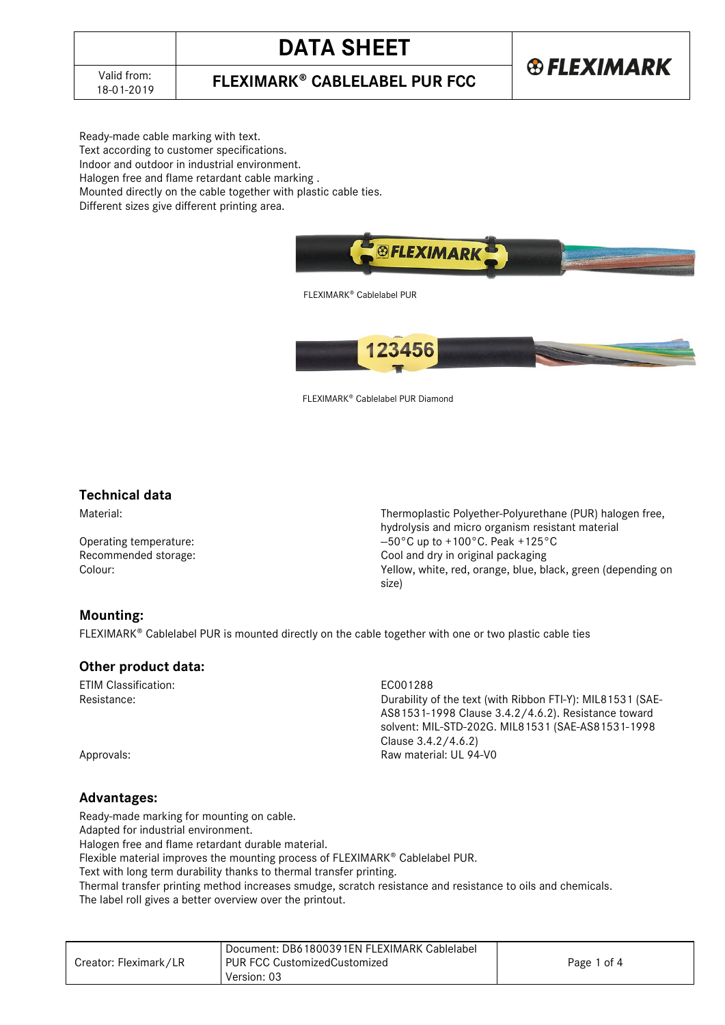## **DATA SHEET**

**®FLEXIMARK** 

**FLEXIMARK<sup>®</sup> CABLELABEL PUR FCC** 

Ready-made cable marking with text. Text according to customer specifications. Indoor and outdoor in industrial environment. Halogen free and flame retardant cable marking .

Mounted directly on the cable together with plastic cable ties.

Different sizes give different printing area.



FLEXIMARK<sup>®</sup> Cablelabel PUR



FLEXIMARK<sup>®</sup> Cablelabel PUR Diamond

#### **Technical data**

Material: Thermoplastic Polyether-Polyurethane (PUR) halogen free, hydrolysis and micro organism resistant material Operating temperature:  $-50^{\circ}$ C up to +100°C. Peak +125°C Recommended storage: Cool and dry in original packaging Colour: Yellow, white, red, orange, blue, black, green (depending on size)

#### **Mounting:**

FLEXIMARK<sup>®</sup> Cablelabel PUR is mounted directly on the cable together with one or two plastic cable ties

#### **Other product data:**

ETIM Classification: ECO01288<br>Resistance: ECO01288<br>Durability c

Durability of the text (with Ribbon FTI-Y): MIL81531 (SAE-AS81531-1998 Clause 3.4.2/4.6.2). Resistance toward solvent: MIL-STD-202G. MIL81531 (SAE-AS81531-1998 Clause 3.4.2/4.6.2) Approvals: Raw material: UL 94-V0

#### **Advantages:**

Ready-made marking for mounting on cable.

Adapted for industrial environment.

Halogen free and flame retardant durable material.

Flexible material improves the mounting process of FLEXIMARK® Cablelabel PUR.

Text with long term durability thanks to thermal transfer printing.

Thermal transfer printing method increases smudge, scratch resistance and resistance to oils and chemicals.

The label roll gives a better overview over the printout.

|                       | Document: DB61800391EN FLEXIMARK Cablelabel |             |
|-----------------------|---------------------------------------------|-------------|
| Creator: Fleximark/LR | l PUR FCC CustomizedCustomized              | Page 1 of 4 |
|                       | Version: 03                                 |             |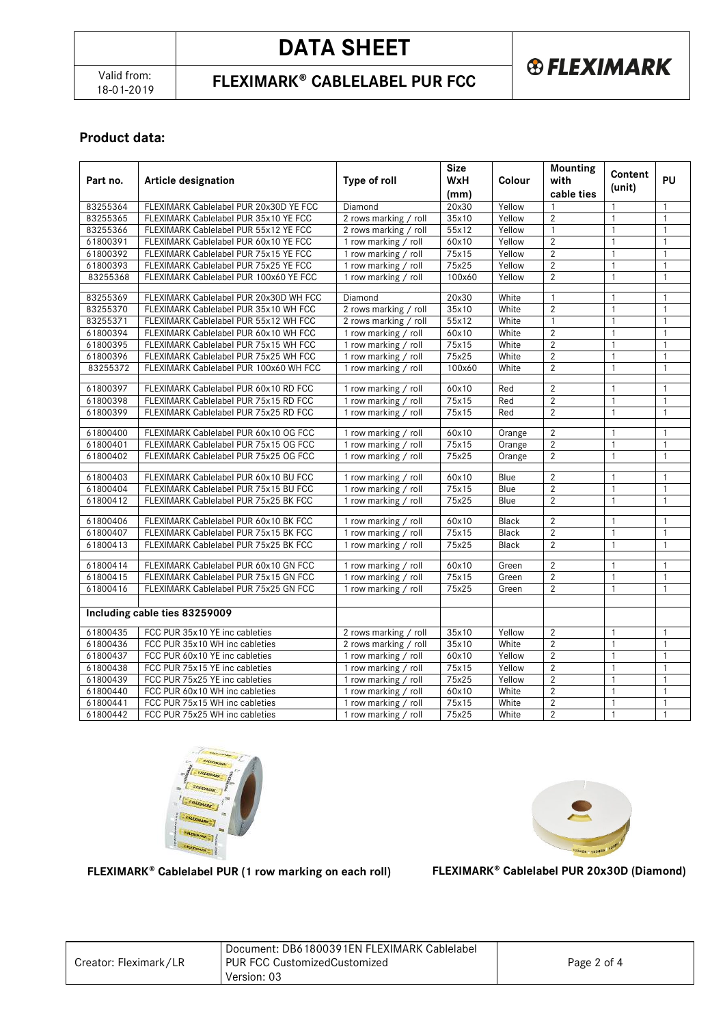# **DATA SHEET**

**FLEXIMARK<sup>®</sup> CABLELABEL PUR FCC** 



### **Product data:**

|          |                                                                                |                       | <b>Size</b>    |               | <b>Mounting</b>                  | Content                      |              |
|----------|--------------------------------------------------------------------------------|-----------------------|----------------|---------------|----------------------------------|------------------------------|--------------|
| Part no. | <b>Article designation</b>                                                     | Type of roll          | <b>WxH</b>     | <b>Colour</b> | with                             | (unit)                       | PU           |
|          |                                                                                |                       | (mm)           |               | cable ties                       |                              |              |
| 83255364 | FLEXIMARK Cablelabel PUR 20x30D YE FCC                                         | Diamond               | 20x30          | Yellow        |                                  | 1                            | $\mathbf{1}$ |
| 83255365 | FLEXIMARK Cablelabel PUR 35x10 YE FCC                                          | 2 rows marking / roll | 35x10          | Yellow        | $\overline{2}$                   | $\mathbf{1}$                 | $\mathbf{1}$ |
| 83255366 | FLEXIMARK Cablelabel PUR 55x12 YE FCC                                          | 2 rows marking / roll | 55x12          | Yellow        | $\mathbf{1}$                     | $\mathbf{1}$                 | $\mathbf{1}$ |
| 61800391 | FLEXIMARK Cablelabel PUR 60x10 YE FCC                                          | 1 row marking / roll  | 60x10          | Yellow        | $\overline{2}$                   | $\mathbf{1}$                 | $\mathbf{1}$ |
| 61800392 | FLEXIMARK Cablelabel PUR 75x15 YE FCC                                          | 1 row marking / roll  | 75x15          | Yellow        | $\sqrt{2}$                       | $\mathbf{1}$                 | $\mathbf{1}$ |
| 61800393 | FLEXIMARK Cablelabel PUR 75x25 YE FCC                                          | 1 row marking / roll  | 75x25          | Yellow        | $\overline{2}$                   | $\mathbf{1}$                 | 1            |
| 83255368 | FLEXIMARK Cablelabel PUR 100x60 YE FCC                                         | 1 row marking / roll  | 100x60         | Yellow        | $\overline{2}$                   | $\mathbf{1}$                 | $\mathbf{1}$ |
| 83255369 | FLEXIMARK Cablelabel PUR 20x30D WH FCC                                         | Diamond               | 20x30          | White         | $\mathbf{1}$                     | $\mathbf{1}$                 | $\mathbf{1}$ |
| 83255370 | FLEXIMARK Cablelabel PUR 35x10 WH FCC                                          | 2 rows marking / roll | 35x10          | White         | $\sqrt{2}$                       | $\mathbf{1}$                 | 1            |
| 83255371 | FLEXIMARK Cablelabel PUR 55x12 WH FCC                                          | 2 rows marking / roll | 55x12          | White         | $\mathbf{1}$                     | $\mathbf{1}$                 | $\mathbf{1}$ |
| 61800394 | FLEXIMARK Cablelabel PUR 60x10 WH FCC                                          | 1 row marking / roll  | 60x10          | White         | $\overline{2}$                   | $\mathbf{1}$                 | 1            |
| 61800395 | FLEXIMARK Cablelabel PUR 75x15 WH FCC                                          | 1 row marking / roll  | 75x15          | White         | $\overline{2}$                   | $\mathbf{1}$                 | $\mathbf{1}$ |
| 61800396 | FLEXIMARK Cablelabel PUR 75x25 WH FCC                                          | 1 row marking / roll  | 75x25          | White         | $\overline{2}$                   | $\mathbf{1}$                 | $\mathbf{1}$ |
| 83255372 | FLEXIMARK Cablelabel PUR 100x60 WH FCC                                         | 1 row marking / roll  | 100x60         | White         | $\overline{2}$                   | $\mathbf{1}$                 | $\mathbf{1}$ |
|          |                                                                                |                       |                |               |                                  |                              |              |
| 61800397 | FLEXIMARK Cablelabel PUR 60x10 RD FCC                                          | 1 row marking / roll  | 60x10          | Red           | $\overline{2}$                   | $\mathbf{1}$                 | $\mathbf{1}$ |
| 61800398 | FLEXIMARK Cablelabel PUR 75x15 RD FCC                                          | 1 row marking / roll  | 75x15          | Red           | $\overline{2}$                   | $\mathbf{1}$                 | $\mathbf{1}$ |
| 61800399 | FLEXIMARK Cablelabel PUR 75x25 RD FCC                                          | 1 row marking / roll  | 75x15          | Red           | $\overline{2}$                   | $\mathbf{1}$                 | $\mathbf{1}$ |
|          |                                                                                |                       |                |               |                                  |                              |              |
| 61800400 | FLEXIMARK Cablelabel PUR 60x10 OG FCC                                          | 1 row marking / roll  | 60x10          | Orange        | $\overline{2}$                   | $\mathbf{1}$                 | $\mathbf{1}$ |
| 61800401 | FLEXIMARK Cablelabel PUR 75x15 OG FCC                                          | 1 row marking / roll  | 75x15          | Orange        | $\overline{2}$                   | $\mathbf{1}$                 | $\mathbf{1}$ |
| 61800402 | FLEXIMARK Cablelabel PUR 75x25 OG FCC                                          | 1 row marking / roll  | 75x25          | Orange        | $\overline{2}$                   | $\mathbf{1}$                 | $\mathbf{1}$ |
|          |                                                                                |                       |                |               |                                  |                              |              |
| 61800403 | FLEXIMARK Cablelabel PUR 60x10 BU FCC<br>FLEXIMARK Cablelabel PUR 75x15 BU FCC | 1 row marking / roll  | 60x10<br>75x15 | Blue          | $\overline{2}$<br>$\overline{2}$ | $\mathbf{1}$<br>$\mathbf{1}$ | $\mathbf{1}$ |
| 61800404 |                                                                                | 1 row marking / roll  | 75x25          | Blue          | $\overline{2}$                   | $\mathbf{1}$                 | $\mathbf{1}$ |
| 61800412 | FLEXIMARK Cablelabel PUR 75x25 BK FCC                                          | 1 row marking / roll  |                | Blue          |                                  |                              | $\mathbf{1}$ |
| 61800406 | FLEXIMARK Cablelabel PUR 60x10 BK FCC                                          | 1 row marking / roll  | 60x10          | <b>Black</b>  | $\overline{2}$                   | $\mathbf{1}$                 | $\mathbf{1}$ |
| 61800407 | FLEXIMARK Cablelabel PUR 75x15 BK FCC                                          | 1 row marking / roll  | 75x15          | Black         | $\overline{2}$                   | $\mathbf{1}$                 | $\mathbf{1}$ |
| 61800413 | FLEXIMARK Cablelabel PUR 75x25 BK FCC                                          | 1 row marking / roll  | 75x25          | Black         | $\overline{2}$                   | $\mathbf{1}$                 | $\mathbf{1}$ |
|          |                                                                                |                       |                |               |                                  |                              |              |
| 61800414 | FLEXIMARK Cablelabel PUR 60x10 GN FCC                                          | 1 row marking / roll  | 60x10          | Green         | $\overline{2}$                   | $\mathbf{1}$                 | 1            |
| 61800415 | FLEXIMARK Cablelabel PUR 75x15 GN FCC                                          | 1 row marking / roll  | 75x15          | Green         | $\overline{2}$                   | $\mathbf{1}$                 | $\mathbf{1}$ |
| 61800416 | FLEXIMARK Cablelabel PUR 75x25 GN FCC                                          | 1 row marking / roll  | 75x25          | Green         | $\overline{2}$                   | $\mathbf{1}$                 | $\mathbf{1}$ |
|          |                                                                                |                       |                |               |                                  |                              |              |
|          | Including cable ties 83259009                                                  |                       |                |               |                                  |                              |              |
| 61800435 | FCC PUR 35x10 YE inc cableties                                                 | 2 rows marking / roll | 35x10          | Yellow        | $\overline{2}$                   | $\mathbf{1}$                 | 1            |
| 61800436 | FCC PUR 35x10 WH inc cableties                                                 | 2 rows marking / roll | 35x10          | White         | $\overline{2}$                   | $\mathbf{1}$                 | $\mathbf{1}$ |
| 61800437 | FCC PUR 60x10 YE inc cableties                                                 | 1 row marking / roll  | 60x10          | Yellow        | $\overline{2}$                   | $\mathbf{1}$                 | $\mathbf{1}$ |
| 61800438 | FCC PUR 75x15 YE inc cableties                                                 | 1 row marking / roll  | 75x15          | Yellow        | $\overline{2}$                   | $\mathbf{1}$                 | $\mathbf{1}$ |
| 61800439 | FCC PUR 75x25 YE inc cableties                                                 | 1 row marking / roll  | 75x25          | Yellow        | $\overline{2}$                   | $\mathbf{1}$                 | $\mathbf{1}$ |
| 61800440 | FCC PUR 60x10 WH inc cableties                                                 | 1 row marking / roll  | 60x10          | White         | $\overline{2}$                   | $\mathbf{1}$                 | 1            |
| 61800441 | FCC PUR 75x15 WH inc cableties                                                 | 1 row marking / roll  | 75x15          | White         | $\overline{2}$                   | $\mathbf{1}$                 | $\mathbf{1}$ |
| 61800442 | FCC PUR 75x25 WH inc cableties                                                 | 1 row marking / roll  | 75x25          | White         | $\overline{2}$                   | $\mathbf{1}$                 | $\mathbf{1}$ |





#### FLEXIMARK<sup>®</sup> Cablelabel PUR (1 row marking on each roll) FLEXIMARK<sup>®</sup> Cablelabel PUR 20x30D (Diamond)

| Creator: Fleximark/LR | Document: DB61800391EN FLEXIMARK Cablelabel<br><b>I PUR FCC CustomizedCustomized</b><br>Version: 03 | Page 2 of 4 |
|-----------------------|-----------------------------------------------------------------------------------------------------|-------------|
|-----------------------|-----------------------------------------------------------------------------------------------------|-------------|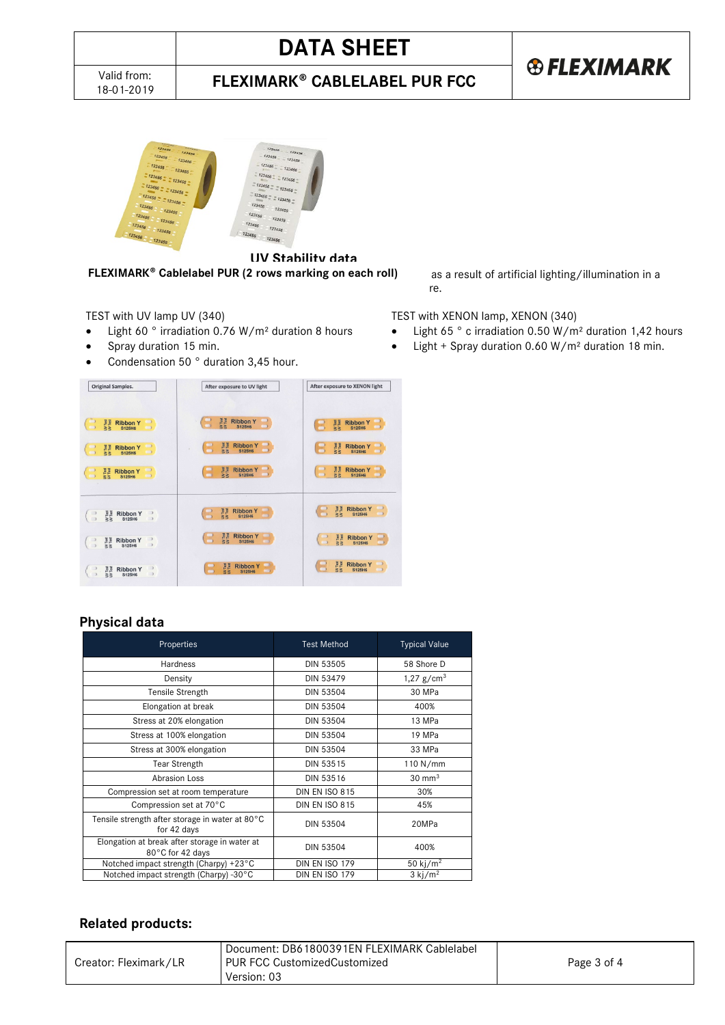# **DATA SHEET**

**® FLEXIMARK FLEXIMARK<sup>®</sup> CABLELABEL PUR FCC** 



**UV Stability data FLEXIMARK<sup>®</sup> Cablelabel PUR (2 rows marking on each roll)** as a result of artificial lighting/illumination in a

- 
- 
- Condensation 50 ° duration 3,45 hour.



### **Physical data**

| Properties                                                        | <b>Test Method</b>    | <b>Typical Value</b>  |
|-------------------------------------------------------------------|-----------------------|-----------------------|
| Hardness                                                          | DIN 53505             | 58 Shore D            |
| Density                                                           | DIN 53479             | 1,27 $g/cm3$          |
| Tensile Strength                                                  | <b>DIN 53504</b>      | 30 MPa                |
| Elongation at break                                               | <b>DIN 53504</b>      | 400%                  |
| Stress at 20% elongation                                          | <b>DIN 53504</b>      | 13 MPa                |
| Stress at 100% elongation                                         | <b>DIN 53504</b>      | 19 MPa                |
| Stress at 300% elongation                                         | <b>DIN 53504</b>      | 33 MPa                |
| <b>Tear Strength</b>                                              | DIN 53515             | 110 N/mm              |
| <b>Abrasion Loss</b>                                              | DIN 53516             | $30 \text{ mm}^3$     |
| Compression set at room temperature                               | <b>DIN EN ISO 815</b> | 30%                   |
| Compression set at 70°C                                           | <b>DIN EN ISO 815</b> | 45%                   |
| Tensile strength after storage in water at 80°C<br>for 42 days    | <b>DIN 53504</b>      | 20MPa                 |
| Elongation at break after storage in water at<br>80°C for 42 days | <b>DIN 53504</b>      | 400%                  |
| Notched impact strength (Charpy) +23°C                            | DIN EN ISO 179        | 50 kj/m <sup>2</sup>  |
| Notched impact strength (Charpy) -30°C                            | DIN EN ISO 179        | $3$ kj/m <sup>2</sup> |

#### **Related products:**

|                       | Document: DB61800391EN FLEXIMARK Cablelabel |             |
|-----------------------|---------------------------------------------|-------------|
| Creator: Fleximark/LR | PUR FCC CustomizedCustomized<br>Version: 03 | Page 3 of 4 |
|                       |                                             |             |

laboratory. Duration of test is 500 hours, which equals 10 years exposure.

#### TEST with UV lamp UV (340) TEST with XENON lamp, XENON (340)

- Light 60° irradiation 0.76 W/m<sup>2</sup> duration 8 hours Light 65° c irradiation 0.50 W/m<sup>2</sup> duration 1,42 hours
	- Spray duration 15 min. Light + Spray duration 0.60 W/m² duration 18 min.